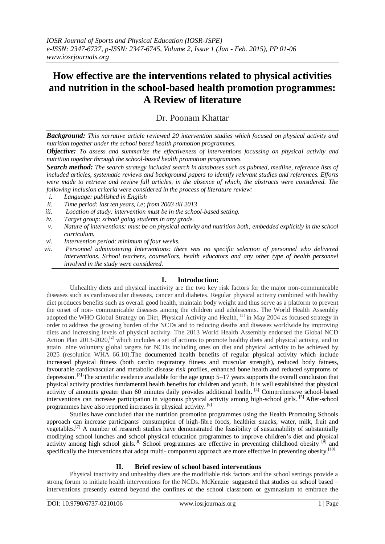# **How effective are the interventions related to physical activities and nutrition in the school-based health promotion programmes: A Review of literature**

## Dr. Poonam Khattar

*Background: This narrative article reviewed 20 intervention studies which focused on physical activity and nutrition together under the school based health promotion programmes.*

*Objective: To assess and summarize the effectiveness of interventions focussing on physical activity and nutrition together through the school-based health promotion programmes.*

*Search method: The search strategy included search in databases such as pubmed, medline, reference lists of included articles, systematic reviews and background papers to identify relevant studies and references. Efforts were made to retrieve and review full articles, in the absence of which, the abstracts were considered. The following inclusion criteria were considered in the process of literature review:*

- *i. Language: published in English*
- *ii. Time period: last ten years, i.e; from 2003 till 2013*
- *iii. Location of study: intervention must be in the school-based setting.*
- *iv. Target group: school going students in any grade.*
- *v. Nature of interventions: must be on physical activity and nutrition both; embedded explicitly in the school curriculum.*
- *vi. Intervention period: minimum of four weeks.*

*vii. Personnel administering Interventions: there was no specific selection of personnel who delivered interventions. School teachers, counsellors, health educators and any other type of health personnel involved in the study were considered.*

#### **I. Introduction:**

Unhealthy diets and physical inactivity are the two key risk factors for the major non-communicable diseases such as cardiovascular diseases, cancer and diabetes. Regular physical activity combined with healthy diet produces benefits such as overall good health, maintain body weight and thus serve as a platform to prevent the onset of non- communicable diseases among the children and adolescents. The World Health Assembly adopted the WHO Global Strategy on Diet, Physical Activity and Health, [1] in May 2004 as focused strategy in order to address the growing burden of the NCDs and to reducing deaths and diseases worldwide by improving diets and increasing levels of physical activity. The 2013 World Health Assembly endorsed the Global NCD Action Plan 2013-2020,<sup>[2]</sup> which includes a set of actions to promote healthy diets and physical activity, and to attain nine voluntary global targets for NCDs including ones on diet and physical activity to be achieved by 2025 (resolution WHA 66.10).The documented health benefits of regular physical activity which include increased physical fitness (both cardio respiratory fitness and muscular strength), reduced body fatness, favourable cardiovascular and metabolic disease risk profiles, enhanced bone health and reduced symptoms of depression.<sup>[3]</sup> The scientific evidence available for the age group 5–17 years supports the overall conclusion that physical activity provides fundamental health benefits for children and youth. It is well established that physical activity of amounts greater than 60 minutes daily provides additional health. [4] Comprehensive school-based interventions can increase participation in vigorous physical activity among high-school girls. [5] After-school programmes have also reported increases in physical activity.<sup>[6]</sup>

Studies have concluded that the nutrition promotion programmes using the Health Promoting Schools approach can increase participants' consumption of high-fibre foods, healthier snacks, water, milk, fruit and vegetables.<sup>[7]</sup> A number of research studies have demonstrated the feasibility of sustainability of substantially modifying school lunches and school physical education programmes to improve children"s diet and physical activity among high school girls.<sup>[8]</sup> School programmes are effective in preventing childhood obesity <sup>[9]</sup> and specifically the interventions that adopt multi- component approach are more effective in preventing obesity.<sup>[10]</sup>

#### **II. Brief review of school based interventions**

Physical inactivity and unhealthy diets are the modifiable risk factors and the school settings provide a strong forum to initiate health interventions for the NCDs. McKenzie suggested that studies on school based – interventions presently extend beyond the confines of the school classroom or gymnasium to embrace the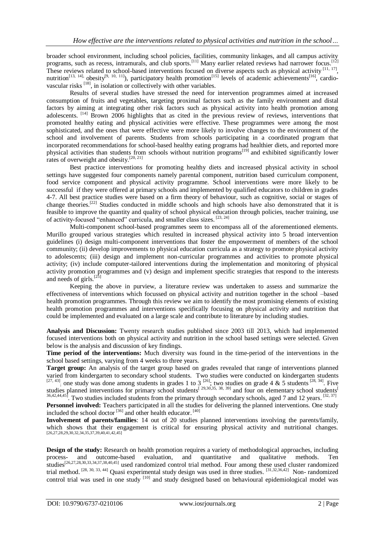broader school environment, including school policies, facilities, community linkages, and all campus activity programs, such as recess, intramurals, and club sports.<sup>[11]</sup> Many earlier related reviews had narrower focus.<sup>[12]</sup> These reviews related to school-based interventions focused on diverse aspects such as physical activity  $[11, 17]$ , nutrition<sup>[13, 14],</sup> obesity<sup>[9, 10, 11]</sup>), participatory health promotion<sup>[15]</sup> levels of academic achievements<sup>[16]</sup>, cardiovascular risks <sup>[18]</sup>, in isolation or collectively with other variables.

Results of several studies have stressed the need for intervention programmes aimed at increased consumption of fruits and vegetables, targeting proximal factors such as the family environment and distal factors by aiming at integrating other risk factors such as physical activity into health promotion among adolescents. <sup>[14]</sup> Brown 2006 highlights that as cited in the previous review of reviews, interventions that promoted healthy eating and physical activities were effective. These programmes were among the most sophisticated, and the ones that were effective were more likely to involve changes to the environment of the school and involvement of parents. Students from schools participating in a coordinated program that incorporated recommendations for school-based healthy eating programs had healthier diets, and reported more physical activities than students from schools without nutrition programs<sup>[19]</sup> and exhibited significantly lower rates of overweight and obesity. $[20, 21]$ 

Best practice interventions for promoting healthy diets and increased physical activity in school settings have suggested four components namely parental component, nutrition based curriculum component, food service component and physical activity programme. School interventions were more likely to be successful if they were offered at primary schools and implemented by qualified educators to children in grades 4-7. All best practice studies were based on a firm theory of behaviour, such as cognitive, social or stages of change theories.<sup>[22]</sup> Studies conducted in middle schools and high schools have also demonstrated that it is feasible to improve the quantity and quality of school physical education through policies, teacher training, use of activity-focused "enhanced" curricula, and smaller class sizes. [23, 24]

Multi-component school-based programmes seem to encompass all of the aforementioned elements. Murillo grouped various strategies which resulted in increased physical activity into 5 broad intervention guidelines (i) design multi-component interventions that foster the empowerment of members of the school community; (ii) develop improvements to physical education curricula as a strategy to promote physical activity to adolescents; (iii) design and implement non-curricular programmes and activities to promote physical activity; (iv) include computer-tailored interventions during the implementation and monitoring of physical activity promotion programmes and (v) design and implement specific strategies that respond to the interests and needs of girls.<sup>[25]</sup>

Keeping the above in purview, a literature review was undertaken to assess and summarize the effectiveness of interventions which focussed on physical activity and nutrition together in the school –based health promotion programmes. Through this review we aim to identify the most promising elements of existing health promotion programmes and interventions specifically focusing on physical activity and nutrition that could be implemented and evaluated on a large scale and contribute to literature by including studies.

**Analysis and Discussion:** Twenty research studies published since 2003 till 2013, which had implemented focused interventions both on physical activity and nutrition in the school based settings were selected. Given below is the analysis and discussion of key findings.

**Time period of the interventions:** Much diversity was found in the time-period of the interventions in the school based settings, varying from 4 weeks to three years.

**Target group:** An analysis of the target group based on grades revealed that range of interventions planned varied from kindergarten to secondary school students. Two studies were conducted on kindergarten students  $[27, 43]$ ; one study was done among students in grades 1 to 3  $[26]$ ; two studies on grade 4 & 5 students  $[28, 3$ studies planned interventions for primary school students<sup>[29,30,35, 38, 39]</sup> and four on elementary school students<sup>[</sup>  $36,42,44,45$ . Two studies included students from the primary through secondary schools, aged 7 and 12 years.  $[32,37]$ 

**Personnel involved:** Teachers participated in all the studies for delivering the planned interventions. One study included the school doctor  $[36]$  and other health educator.  $[40]$ 

**Involvement of parents/families**: 14 out of 20 studies planned interventions involving the parents/family, which shows that their engagement is critical for ensuring physical activity and nutritional changes.  $[26,27,28,29,30,32,34,35,37,39,40,41,42,45]$ 

**Design of the study:** Research on health promotion requires a variety of methodological approaches, including process- and outcome-based evaluation, and quantitative and qualitative methods. Ten studies<sup>[26,27,28,30,33,34,37,38,40,45]</sup> used randomized control trial method. Four among these used cluster randomized trial method. <sup>[28, 30, 33, 44]</sup> Quasi experimental study design was used in three studies. <sup>[31,32,36,42]</sup> Non- randomized control trial was used in one study <sup>[10]</sup> and study designed based on behavioural epidemiological model was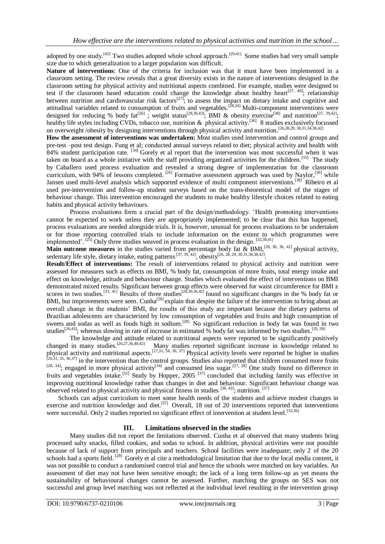adopted by one study.<sup>[43]</sup> Two studies adopted whole school approach.<sup>[29,41]</sup> Some studies had very small sample size due to which generalization to a larger population was difficult.

**Nature of interventions**: One of the criteria for inclusion was that it must have been implemented in a classroom setting. The review reveals that a great diversity exists in the nature of interventions designed in the classroom setting for physical activity and nutritional aspects combined. For example, studies were designed to test if the classroom based education could change the knowledge about healthy heart<sup>[27, 40]</sup>; relationship between nutrition and cardiovascular risk factors<sup>[27]</sup>, to assess the impact on dietary intake and cognitive and attitudinal variables related to consumption of fruits and vegetables.<sup>[28,34]</sup> Multi-component interventions were designed for reducing % body  $fat^{[26]}$ ; weight status<sup>[29,30,43]</sup>; BMI & obesity exercise<sup>[38]</sup> and nutrition<sup>[37, 39,42]</sup>; healthy life styles including CVDs, tobacco use, nutrition & physical activity.<sup>[36]</sup> 8 studies exclusively focussed on overweight /obesity by designing interventions through physical activity and nutrition.<sup>[26,28,29, 30,31,34,38,42]</sup>

**How the assessment of interventions was undertaken:** Most studies used intervention and control groups and pre-test –post test design. Fung et al; conducted annual surveys related to diet; physical activity and health with 84% student participation rate. <sup>[34]</sup> Gorely et al report that the intervention was most successful when it was taken on board as a whole initiative with the staff providing organized activities for the children.<sup>[35]</sup> The study by Caballero used process evaluation and revealed a strong degree of implementation for the classroom curriculum, with 94% of lessons completed. <sup>[26]</sup> Formative assessment approach was used by Naylor,<sup>[26]</sup> while Jansen used multi-level analysis which supported evidence of multi component interventions.<sup>[38]</sup> Ribeiro et al used pre-intervention and follow-up student surveys based on the trans-theoretical model of the stages of behaviour change. This intervention encouraged the students to make healthy lifestyle choices related to eating habits and physical activity behaviours.

Process evaluations form a crucial part of the design/methodology. "Health promoting interventions cannot be expected to work unless they are appropriately implemented; to be clear that this has happened, process evaluations are needed alongside trials. It is, however, unusual for process evaluations to be undertaken or for those reporting controlled trials to include information on the extent to which programmes were implemented'.<sup>[25]</sup> Only three studies weaved in process evaluation in the design.<sup>[32,38,41]</sup>

**Main outcome measures** in the studies varied from percentage body fat & BMI,<sup>[28, 30, 36, 42]</sup> physical activity, sedentary life style, dietary intake, eating patterns  $[37, 39, 42]$ , obesity  $[26, 28, 29, 30, 31, 34, 38, 42]$ .

**Result/Effect of interventions:** The result of interventions related to physical activity and nutrition were assessed for measures such as effects on BMI, % body fat, consumption of more fruits, total energy intake and effect on knowledge, attitude and behaviour change. Studies which evaluated the effect of interventions on BMI demonstrated mixed results. Significant between group effects were observed for waist circumference for BMI z scores in two studies.<sup>[33, 41]</sup> Results of three studies<sup>[28,30,36,42]</sup> found no significant changes in the % body fat or BMI, but improvements were seen. Cunha<sup>[28]</sup> explain that despite the failure of the intervention to bring about an overall change in the students" BMI, the results of this study are important because the dietary patterns of Brazilian adolescents are characterized by low consumption of vegetables and fruits and high consumption of sweets and sodas as well as foods high in sodium.<sup>[28]</sup> No significant reduction in body fat was found in two studies<sup>[26,43]</sup>; whereas slowing in rate of increase in estimated % body fat was informed by two studies.<sup>[35, 39]</sup>

The knowledge and attitude related to nutritional aspects were reported to be significantly positively changed in many studies.<sup>[26,27,36,40,42]</sup> Many studies reported significant increase in knowledge related to physical activity and nutritional aspects.<sup>[27,31, 34, 36, 37]</sup> Physical activity levels were reported be higher in studies  $[26,31,35,36,37]$  in the intervention than the control groups. Studies also reported that childr fruits and vegetables intake.<sup>[35]</sup> Study by Hopper, 2005<sup>[37]</sup> concluded that including family was effective in improving nutritional knowledge rather than changes in diet and behaviour. Significant behaviour change was observed related to physical activity and physical fitness in studies [36, 43]; nutrition. [37]

Schools can adjust curriculum to meet some health needs of the students and achieve modest changes in exercise and nutrition knowledge and diet.<sup>[37]</sup> Overall, 18 out of 20 interventions reported that interventions were successful. Only 2 studies reported no significant effect of intervention at student level.<sup>[32,36]</sup>

#### **III. Limitations observed in the studies**

Many studies did not report the limitations observed. Cunha et al observed that many students bring processed salty snacks, filled cookies, and sodas to school. In addition, physical activities were not possible because of lack of support from principals and teachers. School facilities were inadequate; only 2 of the 20 schools had a sports field.<sup>[28]</sup> Gorely et al cite a methodological limitation that due to the local media content, it was not possible to conduct a randomised control trial and hence the schools were matched on key variables. An assessment of diet may not have been sensitive enough; the lack of a long term follow-up as yet means the sustainability of behavioural changes cannot be assessed. Further, matching the groups on SES was not successful and group level matching was not reflected at the individual level resulting in the intervention group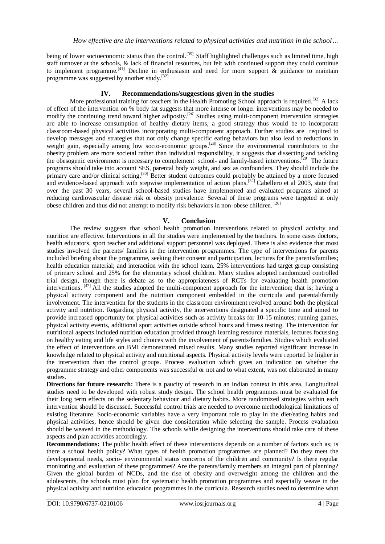being of lower socioeconomic status than the control.<sup>[35]</sup> Staff highlighted challenges such as limited time, high staff turnover at the schools, & lack of financial resources, but felt with continued support they could continue to implement programme.<sup>[41]</sup> Decline in enthusiasm and need for more support  $\&$  guidance to maintain programme was suggested by another study.[32]

#### **IV. Recommendations/suggestions given in the studies**

More professional training for teachers in the Health Promoting School approach is required.<sup>[32]</sup> A lack of effect of the intervention on % body fat suggests that more intense or longer interventions may be needed to modify the continuing trend toward higher adiposity.<sup>[26]</sup> Studies using multi-component intervention strategies are able to increase consumption of healthy dietary items, a good strategy thus would be to incorporate classroom-based physical activities incorporating multi-component approach. Further studies are required to develop messages and strategies that not only change specific eating behaviors but also lead to reductions in weight gain, especially among low socio-economic groups.<sup>[28]</sup> Since the environmental contributors to the obesity problem are more societal rather than individual responsibility, it suggests that dissecting and tackling the obesogenic environment is necessary to complement school- and family-based interventions.<sup>[29]</sup> The future programs should take into account SES, parental body weight, and sex as confounders. They should include the primary care and/or clinical setting.<sup>[30]</sup> Better student outcomes could probably be attained by a more focused and evidence-based approach with stepwise implementation of action plans.<sup>[32]</sup> Cabellero et al 2003, state that over the past 30 years, several school-based studies have implemented and evaluated programs aimed at reducing cardiovascular disease risk or obesity prevalence. Several of these programs were targeted at only obese children and thus did not attempt to modify risk behaviors in non-obese children.<sup>[26]</sup>

### **V. Conclusion**

The review suggests that school health promotion interventions related to physical activity and nutrition are effective. Interventions in all the studies were implemented by the teachers. In some cases doctors, health educators, sport teacher and additional support personnel was deployed. There is also evidence that most studies involved the parents/ families in the intervention programmes. The type of interventions for parents included briefing about the programme, seeking their consent and participation, lectures for the parents/families; health education material; and interaction with the school team. 25% interventions had target group consisting of primary school and 25% for the elementary school children. Many studies adopted randomized controlled trial design, though there is debate as to the appropriateness of RCTs for evaluating health promotion interventions. [47] All the studies adopted the multi-component approach for the intervention; that is; having a physical activity component and the nutrition component embedded in the curricula and parental/family involvement. The intervention for the students in the classroom environment revolved around both the physical activity and nutrition. Regarding physical activity, the interventions designated a specific time and aimed to provide increased opportunity for physical activities such as activity breaks for 10-15 minutes; running games, physical activity events, additional sport activities outside school hours and fitness testing. The intervention for nutritional aspects included nutrition education provided through learning resource materials, lectures focussing on healthy eating and life styles and choices with the involvement of parents/families. Studies which evaluated the effect of interventions on BMI demonstrated mixed results. Many studies reported significant increase in knowledge related to physical activity and nutritional aspects. Physical activity levels were reported be higher in the intervention than the control groups. Process evaluation which gives an indication on whether the programme strategy and other components was successful or not and to what extent, was not elaborated in many studies.

**Directions for future research:** There is a paucity of research in an Indian context in this area. Longitudinal studies need to be developed with robust study design. The school health programmes must be evaluated for their long term effects on the sedentary behaviour and dietary habits. More randomized strategies within each intervention should be discussed. Successful control trials are needed to overcome methodological limitations of existing literature. Socio-economic variables have a very important role to play in the diet/eating habits and physical activities, hence should be given due consideration while selecting the sample. Process evaluation should be weaved in the methodology. The schools while designing the interventions should take care of these aspects and plan activities accordingly.

**Recommendations:** The public health effect of these interventions depends on a number of factors such as; is there a school health policy? What types of health promotion programmes are planned? Do they meet the developmental needs, socio- environmental status concerns of the children and community? Is there regular monitoring and evaluation of these programmes? Are the parents/family members an integral part of planning? Given the global burden of NCDs, and the rise of obesity and overweight among the children and the adolescents, the schools must plan for systematic health promotion programmes and especially weave in the physical activity and nutrition education programmes in the curricula. Research studies need to determine what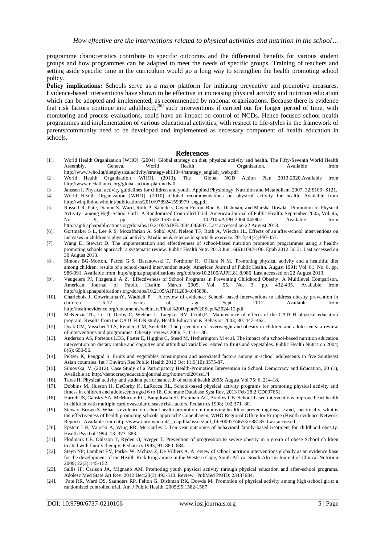programme characteristics contribute to specific outcomes and the differential benefits for various student groups and how programmes can be adapted to meet the needs of specific groups. Training of teachers and setting aside specific time in the curriculum would go a long way to strengthen the health promoting school policy.

**Policy implications:** Schools serve as a major platform for initiating preventive and promotive measures. Evidence-based interventions have shown to be effective in increasing physical activity and nutrition education which can be adopted and implemented, as recommended by national organizations. Because there is evidence that risk factors continue into adulthood,<sup>[36]</sup> such interventions if carried out for longer period of time, with monitoring and process evaluations, could have an impact on control of NCDs. Hence focused school health programmes and implementation of various educational activities; with respect to life-styles in the framework of parents/community need to be developed and implemented as necessary component of health education in schools.

#### **References**

- [1]. World Health Organization [WHO]. (2004). Global strategy on diet, physical activity and health. The Fifty-Seventh World Health Assembly. Geneva. World Health Organization. Available from http://www.who.int/dietphysicalactivity/strategy/eb11344/strategy\_english\_web.pdf
- [2]. World Health Organization [WHO]. (2013). The Global NCD Action Plan 2013-2020.Available from http://www.ncdalliance.org/global-action-plan-ncds-0
- [3]. Janssen I. Physical activity guidelines for children and youth. Applied Physiology Nutrition and Metabolism, 2007, 32:S109–S121.
- [4]. World Health Organization [WHO]. (2010) .Global recommendations on physical activity for health. Available from http://whqlibdoc.who.int/publications/2010/9789241599979\_eng.pdf
- [5]. Russell R. Pate, Dianne S. Ward, Ruth P. Saunders, Gwen Felton, Rod K. Dishman, and Marsha Dowda. Promotion of Physical Activity among High-School Girls: A Randomized Controlled Trial. American Journal of Public Health: September 2005, Vol. 95, No. 9, pp. 1582-1587.doi: 10.2105/AJPH.2004.045807. Available from http://ajph.aphapublications.org/doi/abs/10.2105/AJPH.2004.045807. Last accessed on 22 August 2013.
- [6]. Gortmaker S L, Lee R S, Mozaffarian A, Sobol AM, Nelson TF, Roth A, Wiecha JL. Effects of an after-school interventions on increases in children"s physical activity. Medicine & science in sports & exercise. 2012;44(3);450-457.
- [7]. Wang D, Stewart D. The implementation and effectiveness of school-based nutrition promotion programmes using a healthpromoting schools approach: a systematic review. Public Health Nutr. 2013 Jun;16(6):1082-100. Epub 2012 Jul 31.Last accessed on 30 August 2013.
- [8]. Simons BG-Morton, Parcel G S, Baranowski T, Forthofer R, O'Hara N M. Promoting physical activity and a healthful diet among children: results of a school-based intervention study. American Journal of Public Health. August 1991: Vol. 81, No. 8, pp. 986-991. Available from http://ajph.aphapublications.org/doi/abs/10.2105/AJPH.81.8.986 Last accessed on 22 August 2013.
- [9]. Veugelers PJ, Fitzgerald A Z. Effectiveness of School Programs in Preventing Childhood Obesity: A Multilevel Comparison. American Journal of Public Health: March 2005, Vol. 95, No. 3, pp. 432-435. Available from http://ajph.aphapublications.org/doi/abs/10.2105/AJPH.2004.045898.
- [10]. Charlebois J, GowrinathanY, Waddell P. A review of evidence: School- based interventions to address obesity prevention in children 6-12 years of age. Sept 2012. Available from http://healthevidence.org/documents/webinars/Final%20Report%20Sept%2024-12.pdf
- [11]. McKenzie TL, Li D, Derby C, Webber L, Luepker RV, Cribb,P. Maintenance of effects of the CATCH physical education program: Results from the CATCH-ON study. Health Education & Behavior 2003; 30: 447–462.
- [12]. Doak CM, Visscher TLS, Renders CM, SeidellJC.The prevention of overweight and obesity in children and adolescents: a review of interventions and programmes. Obesity reviews 2006; 7: 111–136.
- [13]. Anderson AS, Porteous LEG, Foster E, Higgins C, Stead M, Hetherington M et al. The impact of a school-based nutrition education intervention on dietary intake and cognitive and attitudinal variables related to fruits and vegetables. Public Health Nutrition 2004; 8(6): 650-56.
- [14]. Peltzer K, Pengpid S. Fruits and vegetables consumption and associated factors among in-school adolescents in five Southeast Asian countries. Int J Environ Res Public Health 2012 Oct 11;9(10):3575-87.
- [15]. Simovska, V. (2012). Case Study of a Participatory Health-Promotion Intervention in School. Democracy and Education, 20 (1), Available at: http://democracyeducationjournal.org/home/vol20/iss1/4
- 
- [16]. Taras H. Physical activity and student performance. Jr of school health 2005; August Vol 75: 6, 214-18. [17]. Dobbins M, Husson H, DeCorby K, LaRocca RL. School-based physical activity programs for promoting physical activity and fitness in children and adolescents aged 6 to 18. Cochrane Database Syst Rev. 2013 Feb 28;2:CD007651.
- [18]. Harrell JS, Gansky SA, McMurray RG, Bangdiwala SI, Frauman AC, Bradley CB. School-based interventions improve heart health in children with multiple cardiovascular disease risk factors. Pediatrics 1998; 102:371–80.
- [19]. Stewart-Brown S. What is evidence on school health promotion in improving health or preventing disease and, specifically, what is the effectiveness of health promoting schools approach? Copenhagen, WHO Regional Office for Europe (Health evidence Network Report) . Available from http://www.euro.who.int/\_\_dapdfta/assets/pdf\_file/0007/74653/E88185. Last accessed
- [20]. Epstein LH, Valoski A, Wing RR, Mc Curley I. Ten year outcomes of behavioral family-based treatment for childhood obesity. Health Psychol 1994; 13: 373–383.
- [21]. Flodmark CE, Ohlsson T, Ryden O, Sveger T. Prevention of progression to severe obesity in a group of obese School children treated with family therapy. Pediatrics 1993; 91: 880–884.
- [22]. Steyn NP; Lambert EV, Parker W, Mchiza Z, De Villiers A. A review of school nutrition interventions globally as an evidence base for the development of the Health Kick Programme in the Western Cape, South Africa. South African Journal of Clinical Nutrition 2009; 22(3):145-152.
- [23]. Sallis JF, Carlson JA, Mignano AM. Promoting youth physical activity through physical education and after-school programs. Adolesc Med State Art Rev. 2012 Dec;23(3):493-510. Review. PubMed PMID: 23437684.
- [24]. Pate RR, Ward DS, Saunders RP, Felton G, Dishman RK, Dowda M. Promotion of physical activity among high-school girls: a randomized controlled trial. Am J Public Health. 2005;95:1582-1587